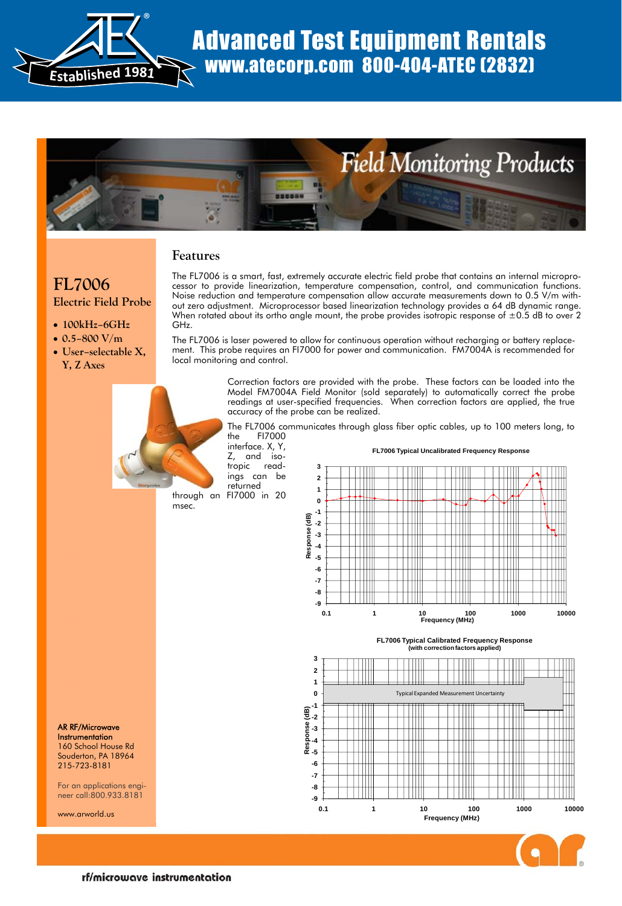



# **Features**

# **FL7006 Electric Field Probe**

- **100kHz–6GHz**
- **0.5–800 V/m**
- **User–selectable X, Y, Z Axes**



The FL7006 is a smart, fast, extremely accurate electric field probe that contains an internal microprocessor to provide linearization, temperature compensation, control, and communication functions. Noise reduction and temperature compensation allow accurate measurements down to 0.5 V/m without zero adjustment. Microprocessor based linearization technology provides a 64 dB dynamic range. When rotated about its ortho angle mount, the probe provides isotropic response of  $\pm 0.5$  dB to over 2 GHz.

The FL7006 is laser powered to allow for continuous operation without recharging or battery replacement. This probe requires an FI7000 for power and communication. FM7004A is recommended for local monitoring and control.

> Correction factors are provided with the probe. These factors can be loaded into the Model FM7004A Field Monitor (sold separately) to automatically correct the probe readings at user-specified frequencies. When correction factors are applied, the true accuracy of the probe can be realized.

> The FL7006 communicates through glass fiber optic cables, up to 100 meters long, to the FI7000

interface. X, Y, Z, and isotropic readings can be returned

through an FI7000 in 20 msec.









AR RF/Microwave **Instrumentation** 160 School House Rd Souderton, PA 18964 215-723-8181

For an applications engineer call:800.933.8181

www.arworld.us